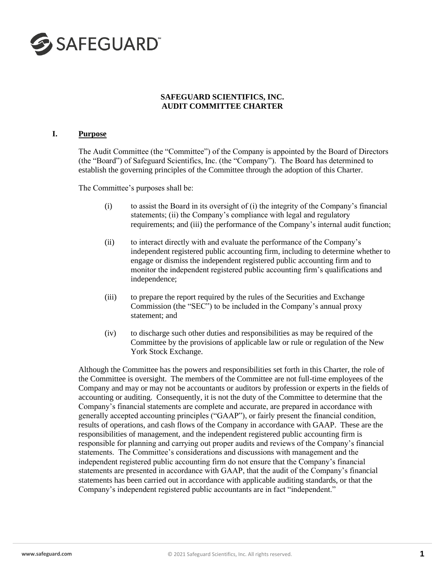

# **SAFEGUARD SCIENTIFICS, INC. AUDIT COMMITTEE CHARTER**

#### **I. Purpose**

The Audit Committee (the "Committee") of the Company is appointed by the Board of Directors (the "Board") of Safeguard Scientifics, Inc. (the "Company"). The Board has determined to establish the governing principles of the Committee through the adoption of this Charter.

The Committee's purposes shall be:

- $(i)$  to assist the Board in its oversight of  $(i)$  the integrity of the Company's financial statements; (ii) the Company's compliance with legal and regulatory requirements; and (iii) the performance of the Company's internal audit function;
- (ii) to interact directly with and evaluate the performance of the Company's independent registered public accounting firm, including to determine whether to engage or dismiss the independent registered public accounting firm and to monitor the independent registered public accounting firm's qualifications and independence;
- (iii) to prepare the report required by the rules of the Securities and Exchange Commission (the "SEC") to be included in the Company's annual proxy statement; and
- (iv) to discharge such other duties and responsibilities as may be required of the Committee by the provisions of applicable law or rule or regulation of the New York Stock Exchange.

Although the Committee has the powers and responsibilities set forth in this Charter, the role of the Committee is oversight. The members of the Committee are not full-time employees of the Company and may or may not be accountants or auditors by profession or experts in the fields of accounting or auditing. Consequently, it is not the duty of the Committee to determine that the Company's financial statements are complete and accurate, are prepared in accordance with generally accepted accounting principles ("GAAP"), or fairly present the financial condition, results of operations, and cash flows of the Company in accordance with GAAP. These are the responsibilities of management, and the independent registered public accounting firm is responsible for planning and carrying out proper audits and reviews of the Company's financial statements. The Committee's considerations and discussions with management and the independent registered public accounting firm do not ensure that the Company's financial statements are presented in accordance with GAAP, that the audit of the Company's financial statements has been carried out in accordance with applicable auditing standards, or that the Company's independent registered public accountants are in fact "independent."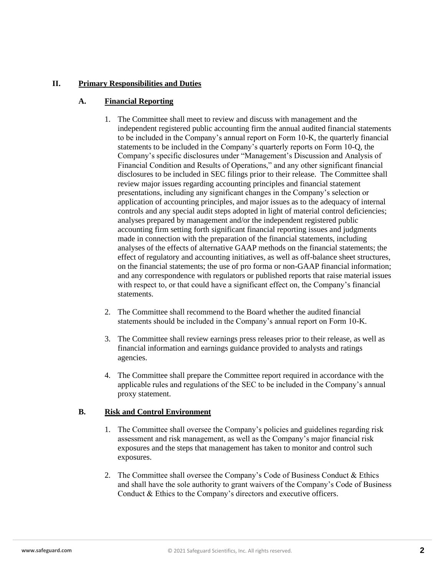# **II. Primary Responsibilities and Duties**

### **A. Financial Reporting**

- 1. The Committee shall meet to review and discuss with management and the independent registered public accounting firm the annual audited financial statements to be included in the Company's annual report on Form 10-K, the quarterly financial statements to be included in the Company's quarterly reports on Form 10-Q, the Company's specific disclosures under "Management's Discussion and Analysis of Financial Condition and Results of Operations," and any other significant financial disclosures to be included in SEC filings prior to their release. The Committee shall review major issues regarding accounting principles and financial statement presentations, including any significant changes in the Company's selection or application of accounting principles, and major issues as to the adequacy of internal controls and any special audit steps adopted in light of material control deficiencies; analyses prepared by management and/or the independent registered public accounting firm setting forth significant financial reporting issues and judgments made in connection with the preparation of the financial statements, including analyses of the effects of alternative GAAP methods on the financial statements; the effect of regulatory and accounting initiatives, as well as off-balance sheet structures, on the financial statements; the use of pro forma or non-GAAP financial information; and any correspondence with regulators or published reports that raise material issues with respect to, or that could have a significant effect on, the Company's financial statements.
- 2. The Committee shall recommend to the Board whether the audited financial statements should be included in the Company's annual report on Form 10-K.
- 3. The Committee shall review earnings press releases prior to their release, as well as financial information and earnings guidance provided to analysts and ratings agencies.
- 4. The Committee shall prepare the Committee report required in accordance with the applicable rules and regulations of the SEC to be included in the Company's annual proxy statement.

### **B. Risk and Control Environment**

- 1. The Committee shall oversee the Company's policies and guidelines regarding risk assessment and risk management, as well as the Company's major financial risk exposures and the steps that management has taken to monitor and control such exposures.
- 2. The Committee shall oversee the Company's Code of Business Conduct & Ethics and shall have the sole authority to grant waivers of the Company's Code of Business Conduct & Ethics to the Company's directors and executive officers.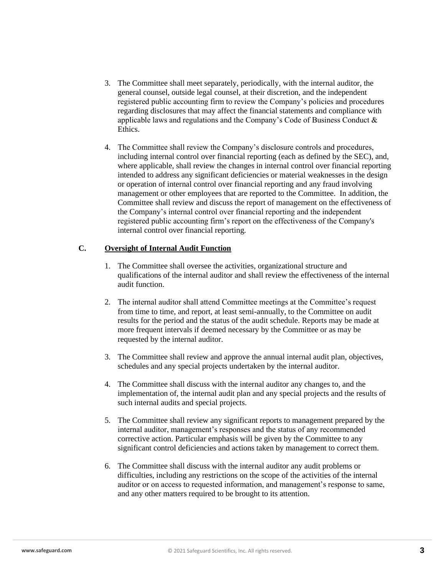- 3. The Committee shall meet separately, periodically, with the internal auditor, the general counsel, outside legal counsel, at their discretion, and the independent registered public accounting firm to review the Company's policies and procedures regarding disclosures that may affect the financial statements and compliance with applicable laws and regulations and the Company's Code of Business Conduct & Ethics.
- 4. The Committee shall review the Company's disclosure controls and procedures, including internal control over financial reporting (each as defined by the SEC), and, where applicable, shall review the changes in internal control over financial reporting intended to address any significant deficiencies or material weaknesses in the design or operation of internal control over financial reporting and any fraud involving management or other employees that are reported to the Committee. In addition, the Committee shall review and discuss the report of management on the effectiveness of the Company's internal control over financial reporting and the independent registered public accounting firm's report on the effectiveness of the Company's internal control over financial reporting.

### **C. Oversight of Internal Audit Function**

- 1. The Committee shall oversee the activities, organizational structure and qualifications of the internal auditor and shall review the effectiveness of the internal audit function.
- 2. The internal auditor shall attend Committee meetings at the Committee's request from time to time, and report, at least semi-annually, to the Committee on audit results for the period and the status of the audit schedule. Reports may be made at more frequent intervals if deemed necessary by the Committee or as may be requested by the internal auditor.
- 3. The Committee shall review and approve the annual internal audit plan, objectives, schedules and any special projects undertaken by the internal auditor.
- 4. The Committee shall discuss with the internal auditor any changes to, and the implementation of, the internal audit plan and any special projects and the results of such internal audits and special projects.
- 5. The Committee shall review any significant reports to management prepared by the internal auditor, management's responses and the status of any recommended corrective action. Particular emphasis will be given by the Committee to any significant control deficiencies and actions taken by management to correct them.
- 6. The Committee shall discuss with the internal auditor any audit problems or difficulties, including any restrictions on the scope of the activities of the internal auditor or on access to requested information, and management's response to same, and any other matters required to be brought to its attention.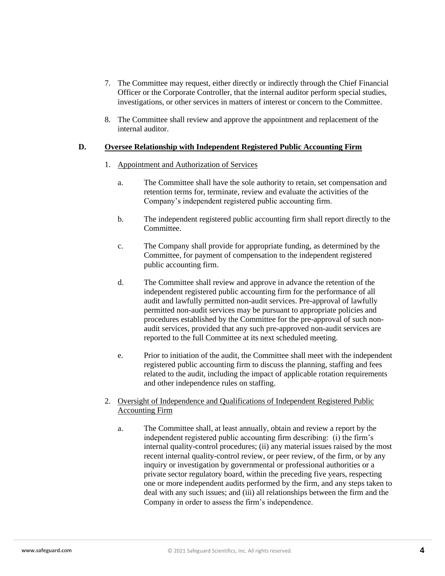- 7. The Committee may request, either directly or indirectly through the Chief Financial Officer or the Corporate Controller, that the internal auditor perform special studies, investigations, or other services in matters of interest or concern to the Committee.
- 8. The Committee shall review and approve the appointment and replacement of the internal auditor.

#### **D. Oversee Relationship with Independent Registered Public Accounting Firm**

#### 1. Appointment and Authorization of Services

- a. The Committee shall have the sole authority to retain, set compensation and retention terms for, terminate, review and evaluate the activities of the Company's independent registered public accounting firm.
- b. The independent registered public accounting firm shall report directly to the Committee.
- c. The Company shall provide for appropriate funding, as determined by the Committee, for payment of compensation to the independent registered public accounting firm.
- d. The Committee shall review and approve in advance the retention of the independent registered public accounting firm for the performance of all audit and lawfully permitted non-audit services. Pre-approval of lawfully permitted non-audit services may be pursuant to appropriate policies and procedures established by the Committee for the pre-approval of such nonaudit services, provided that any such pre-approved non-audit services are reported to the full Committee at its next scheduled meeting.
- e. Prior to initiation of the audit, the Committee shall meet with the independent registered public accounting firm to discuss the planning, staffing and fees related to the audit, including the impact of applicable rotation requirements and other independence rules on staffing.
- 2. Oversight of Independence and Qualifications of Independent Registered Public Accounting Firm
	- a. The Committee shall, at least annually, obtain and review a report by the independent registered public accounting firm describing: (i) the firm's internal quality-control procedures; (ii) any material issues raised by the most recent internal quality-control review, or peer review, of the firm, or by any inquiry or investigation by governmental or professional authorities or a private sector regulatory board, within the preceding five years, respecting one or more independent audits performed by the firm, and any steps taken to deal with any such issues; and (iii) all relationships between the firm and the Company in order to assess the firm's independence.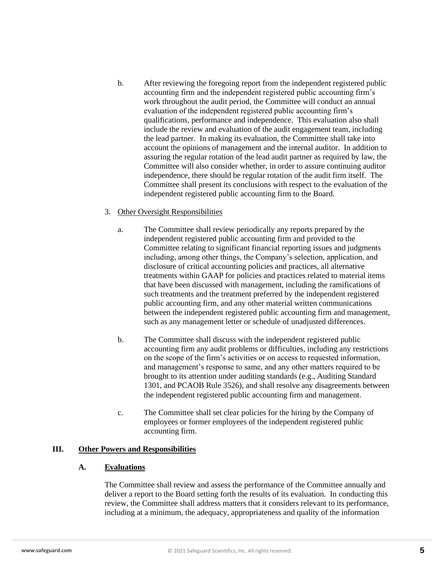- b. After reviewing the foregoing report from the independent registered public accounting firm and the independent registered public accounting firm's work throughout the audit period, the Committee will conduct an annual evaluation of the independent registered public accounting firm's qualifications, performance and independence. This evaluation also shall include the review and evaluation of the audit engagement team, including the lead partner. In making its evaluation, the Committee shall take into account the opinions of management and the internal auditor. In addition to assuring the regular rotation of the lead audit partner as required by law, the Committee will also consider whether, in order to assure continuing auditor independence, there should be regular rotation of the audit firm itself. The Committee shall present its conclusions with respect to the evaluation of the independent registered public accounting firm to the Board.
- 3. Other Oversight Responsibilities
	- a. The Committee shall review periodically any reports prepared by the independent registered public accounting firm and provided to the Committee relating to significant financial reporting issues and judgments including, among other things, the Company's selection, application, and disclosure of critical accounting policies and practices, all alternative treatments within GAAP for policies and practices related to material items that have been discussed with management, including the ramifications of such treatments and the treatment preferred by the independent registered public accounting firm, and any other material written communications between the independent registered public accounting firm and management, such as any management letter or schedule of unadjusted differences.
	- b. The Committee shall discuss with the independent registered public accounting firm any audit problems or difficulties, including any restrictions on the scope of the firm's activities or on access to requested information, and management's response to same, and any other matters required to be brought to its attention under auditing standards (e.g., Auditing Standard 1301, and PCAOB Rule 3526), and shall resolve any disagreements between the independent registered public accounting firm and management.
	- c. The Committee shall set clear policies for the hiring by the Company of employees or former employees of the independent registered public accounting firm.

### **III. Other Powers and Responsibilities**

### **A. Evaluations**

The Committee shall review and assess the performance of the Committee annually and deliver a report to the Board setting forth the results of its evaluation. In conducting this review, the Committee shall address matters that it considers relevant to its performance, including at a minimum, the adequacy, appropriateness and quality of the information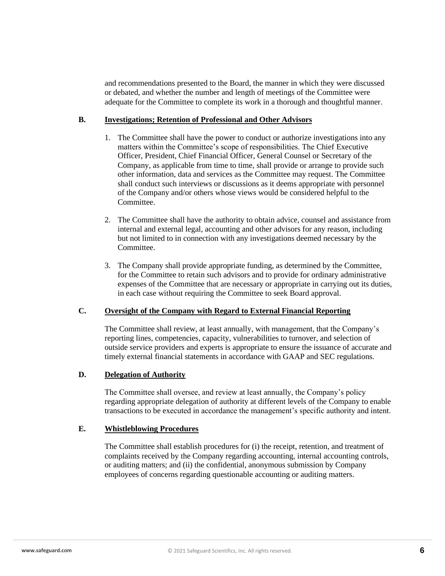and recommendations presented to the Board, the manner in which they were discussed or debated, and whether the number and length of meetings of the Committee were adequate for the Committee to complete its work in a thorough and thoughtful manner.

### **B. Investigations; Retention of Professional and Other Advisors**

- 1. The Committee shall have the power to conduct or authorize investigations into any matters within the Committee's scope of responsibilities. The Chief Executive Officer, President, Chief Financial Officer, General Counsel or Secretary of the Company, as applicable from time to time, shall provide or arrange to provide such other information, data and services as the Committee may request. The Committee shall conduct such interviews or discussions as it deems appropriate with personnel of the Company and/or others whose views would be considered helpful to the **Committee**
- 2. The Committee shall have the authority to obtain advice, counsel and assistance from internal and external legal, accounting and other advisors for any reason, including but not limited to in connection with any investigations deemed necessary by the Committee.
- 3. The Company shall provide appropriate funding, as determined by the Committee, for the Committee to retain such advisors and to provide for ordinary administrative expenses of the Committee that are necessary or appropriate in carrying out its duties, in each case without requiring the Committee to seek Board approval.

### **C. Oversight of the Company with Regard to External Financial Reporting**

The Committee shall review, at least annually, with management, that the Company's reporting lines, competencies, capacity, vulnerabilities to turnover, and selection of outside service providers and experts is appropriate to ensure the issuance of accurate and timely external financial statements in accordance with GAAP and SEC regulations.

# **D. Delegation of Authority**

The Committee shall oversee, and review at least annually, the Company's policy regarding appropriate delegation of authority at different levels of the Company to enable transactions to be executed in accordance the management's specific authority and intent.

#### **E. Whistleblowing Procedures**

The Committee shall establish procedures for (i) the receipt, retention, and treatment of complaints received by the Company regarding accounting, internal accounting controls, or auditing matters; and (ii) the confidential, anonymous submission by Company employees of concerns regarding questionable accounting or auditing matters.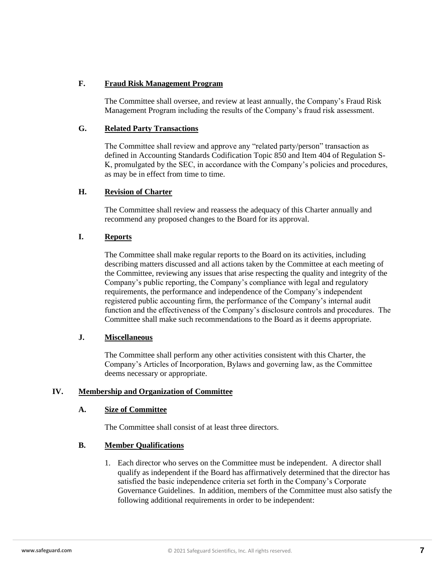# **F. Fraud Risk Management Program**

The Committee shall oversee, and review at least annually, the Company's Fraud Risk Management Program including the results of the Company's fraud risk assessment.

# **G. Related Party Transactions**

The Committee shall review and approve any "related party/person" transaction as defined in Accounting Standards Codification Topic 850 and Item 404 of Regulation S-K, promulgated by the SEC, in accordance with the Company's policies and procedures, as may be in effect from time to time.

# **H. Revision of Charter**

The Committee shall review and reassess the adequacy of this Charter annually and recommend any proposed changes to the Board for its approval.

# **I. Reports**

The Committee shall make regular reports to the Board on its activities, including describing matters discussed and all actions taken by the Committee at each meeting of the Committee, reviewing any issues that arise respecting the quality and integrity of the Company's public reporting, the Company's compliance with legal and regulatory requirements, the performance and independence of the Company's independent registered public accounting firm, the performance of the Company's internal audit function and the effectiveness of the Company's disclosure controls and procedures. The Committee shall make such recommendations to the Board as it deems appropriate.

### **J. Miscellaneous**

The Committee shall perform any other activities consistent with this Charter, the Company's Articles of Incorporation, Bylaws and governing law, as the Committee deems necessary or appropriate.

# **IV. Membership and Organization of Committee**

### **A. Size of Committee**

The Committee shall consist of at least three directors.

# **B. Member Qualifications**

1. Each director who serves on the Committee must be independent. A director shall qualify as independent if the Board has affirmatively determined that the director has satisfied the basic independence criteria set forth in the Company's Corporate Governance Guidelines. In addition, members of the Committee must also satisfy the following additional requirements in order to be independent: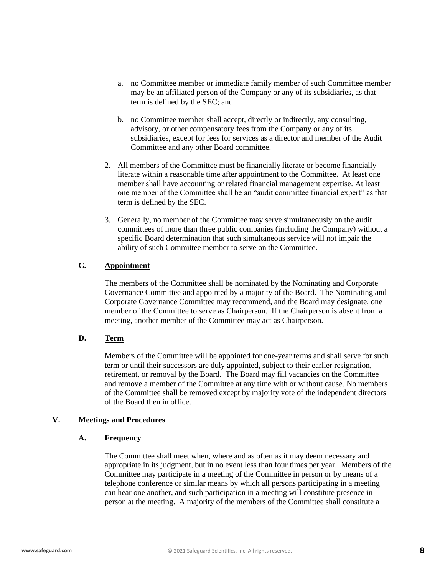- a. no Committee member or immediate family member of such Committee member may be an affiliated person of the Company or any of its subsidiaries, as that term is defined by the SEC; and
- b. no Committee member shall accept, directly or indirectly, any consulting, advisory, or other compensatory fees from the Company or any of its subsidiaries, except for fees for services as a director and member of the Audit Committee and any other Board committee.
- 2. All members of the Committee must be financially literate or become financially literate within a reasonable time after appointment to the Committee. At least one member shall have accounting or related financial management expertise. At least one member of the Committee shall be an "audit committee financial expert" as that term is defined by the SEC.
- 3. Generally, no member of the Committee may serve simultaneously on the audit committees of more than three public companies (including the Company) without a specific Board determination that such simultaneous service will not impair the ability of such Committee member to serve on the Committee.

# **C. Appointment**

The members of the Committee shall be nominated by the Nominating and Corporate Governance Committee and appointed by a majority of the Board. The Nominating and Corporate Governance Committee may recommend, and the Board may designate, one member of the Committee to serve as Chairperson. If the Chairperson is absent from a meeting, another member of the Committee may act as Chairperson.

### **D. Term**

Members of the Committee will be appointed for one-year terms and shall serve for such term or until their successors are duly appointed, subject to their earlier resignation, retirement, or removal by the Board. The Board may fill vacancies on the Committee and remove a member of the Committee at any time with or without cause*.* No members of the Committee shall be removed except by majority vote of the independent directors of the Board then in office.

### **V. Meetings and Procedures**

### **A. Frequency**

The Committee shall meet when, where and as often as it may deem necessary and appropriate in its judgment, but in no event less than four times per year. Members of the Committee may participate in a meeting of the Committee in person or by means of a telephone conference or similar means by which all persons participating in a meeting can hear one another, and such participation in a meeting will constitute presence in person at the meeting. A majority of the members of the Committee shall constitute a